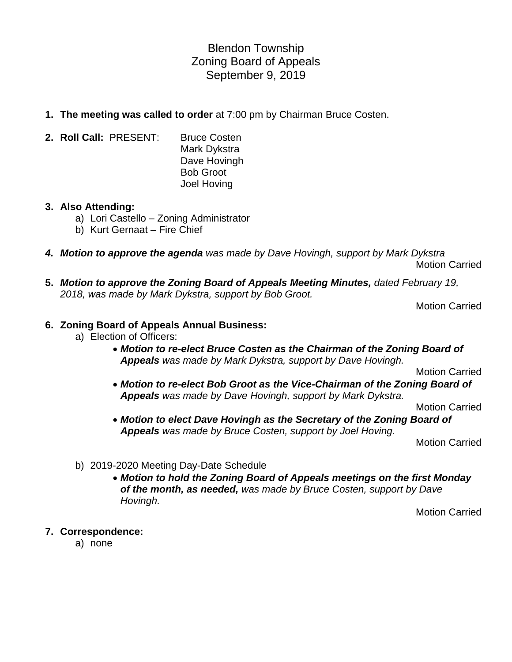Blendon Township Zoning Board of Appeals September 9, 2019

- **1. The meeting was called to order** at 7:00 pm by Chairman Bruce Costen.
- **2. Roll Call:** PRESENT: Bruce Costen Mark Dykstra Dave Hovingh Bob Groot Joel Hoving

## **3. Also Attending:**

- a) Lori Castello Zoning Administrator
- b) Kurt Gernaat Fire Chief
- *4. Motion to approve the agenda was made by Dave Hovingh, support by Mark Dykstra* Motion Carried
- **5.** *Motion to approve the Zoning Board of Appeals Meeting Minutes, dated February 19, 2018, was made by Mark Dykstra, support by Bob Groot.*

Motion Carried

## **6. Zoning Board of Appeals Annual Business:**

- a) Election of Officers:
	- *Motion to re-elect Bruce Costen as the Chairman of the Zoning Board of Appeals was made by Mark Dykstra, support by Dave Hovingh.*

Motion Carried

• *Motion to re-elect Bob Groot as the Vice-Chairman of the Zoning Board of Appeals was made by Dave Hovingh, support by Mark Dykstra.*

Motion Carried

• *Motion to elect Dave Hovingh as the Secretary of the Zoning Board of Appeals was made by Bruce Costen, support by Joel Hoving.*

Motion Carried

- b) 2019-2020 Meeting Day-Date Schedule
	- *Motion to hold the Zoning Board of Appeals meetings on the first Monday of the month, as needed, was made by Bruce Costen, support by Dave Hovingh.*

Motion Carried

- **7. Correspondence:**
	- a) none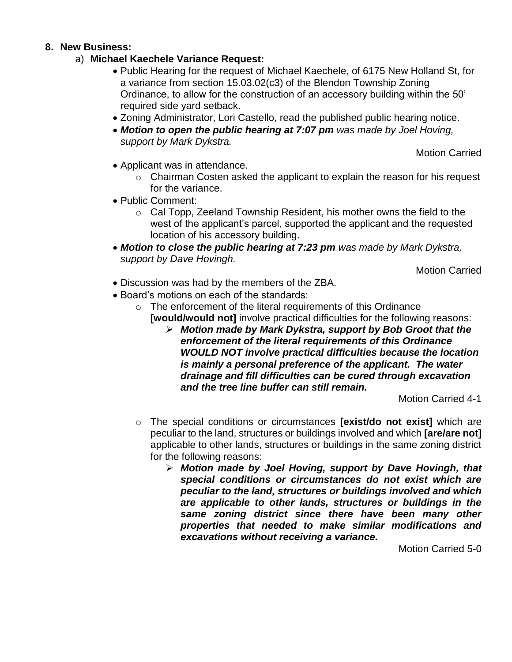## **8. New Business:**

- a) **Michael Kaechele Variance Request:**
	- Public Hearing for the request of Michael Kaechele, of 6175 New Holland St, for a variance from section 15.03.02(c3) of the Blendon Township Zoning Ordinance, to allow for the construction of an accessory building within the 50' required side yard setback.
	- Zoning Administrator, Lori Castello, read the published public hearing notice.
	- *Motion to open the public hearing at 7:07 pm was made by Joel Hoving, support by Mark Dykstra.*

Motion Carried

- Applicant was in attendance.
	- $\circ$  Chairman Costen asked the applicant to explain the reason for his request for the variance.
- Public Comment:
	- o Cal Topp, Zeeland Township Resident, his mother owns the field to the west of the applicant's parcel, supported the applicant and the requested location of his accessory building.
- *Motion to close the public hearing at 7:23 pm was made by Mark Dykstra, support by Dave Hovingh.*

Motion Carried

- Discussion was had by the members of the ZBA.
- Board's motions on each of the standards:
	- $\circ$  The enforcement of the literal requirements of this Ordinance **[would/would not]** involve practical difficulties for the following reasons:
		- ➢ *Motion made by Mark Dykstra, support by Bob Groot that the enforcement of the literal requirements of this Ordinance WOULD NOT involve practical difficulties because the location is mainly a personal preference of the applicant. The water drainage and fill difficulties can be cured through excavation and the tree line buffer can still remain.*

Motion Carried 4-1

- o The special conditions or circumstances **[exist/do not exist]** which are peculiar to the land, structures or buildings involved and which **[are/are not]** applicable to other lands, structures or buildings in the same zoning district for the following reasons:
	- ➢ *Motion made by Joel Hoving, support by Dave Hovingh, that special conditions or circumstances do not exist which are peculiar to the land, structures or buildings involved and which are applicable to other lands, structures or buildings in the same zoning district since there have been many other properties that needed to make similar modifications and excavations without receiving a variance.*

Motion Carried 5-0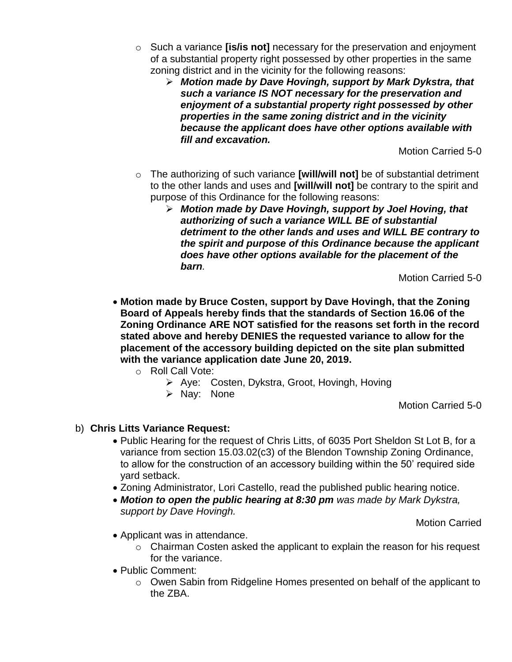- o Such a variance **[is/is not]** necessary for the preservation and enjoyment of a substantial property right possessed by other properties in the same zoning district and in the vicinity for the following reasons:
	- ➢ *Motion made by Dave Hovingh, support by Mark Dykstra, that such a variance IS NOT necessary for the preservation and enjoyment of a substantial property right possessed by other properties in the same zoning district and in the vicinity because the applicant does have other options available with fill and excavation.*

Motion Carried 5-0

- o The authorizing of such variance **[will/will not]** be of substantial detriment to the other lands and uses and **[will/will not]** be contrary to the spirit and purpose of this Ordinance for the following reasons:
	- ➢ *Motion made by Dave Hovingh, support by Joel Hoving, that authorizing of such a variance WILL BE of substantial detriment to the other lands and uses and WILL BE contrary to the spirit and purpose of this Ordinance because the applicant does have other options available for the placement of the barn.*

Motion Carried 5-0

- **Motion made by Bruce Costen, support by Dave Hovingh, that the Zoning Board of Appeals hereby finds that the standards of Section 16.06 of the Zoning Ordinance ARE NOT satisfied for the reasons set forth in the record stated above and hereby DENIES the requested variance to allow for the placement of the accessory building depicted on the site plan submitted with the variance application date June 20, 2019.**
	- o Roll Call Vote:
		- ➢ Aye: Costen, Dykstra, Groot, Hovingh, Hoving
			- ➢ Nay: None

Motion Carried 5-0

- b) **Chris Litts Variance Request:**
	- Public Hearing for the request of Chris Litts, of 6035 Port Sheldon St Lot B, for a variance from section 15.03.02(c3) of the Blendon Township Zoning Ordinance, to allow for the construction of an accessory building within the 50' required side yard setback.
	- Zoning Administrator, Lori Castello, read the published public hearing notice.
	- *Motion to open the public hearing at 8:30 pm was made by Mark Dykstra, support by Dave Hovingh.*

Motion Carried

- Applicant was in attendance.
	- o Chairman Costen asked the applicant to explain the reason for his request for the variance.
- Public Comment:
	- o Owen Sabin from Ridgeline Homes presented on behalf of the applicant to the ZBA.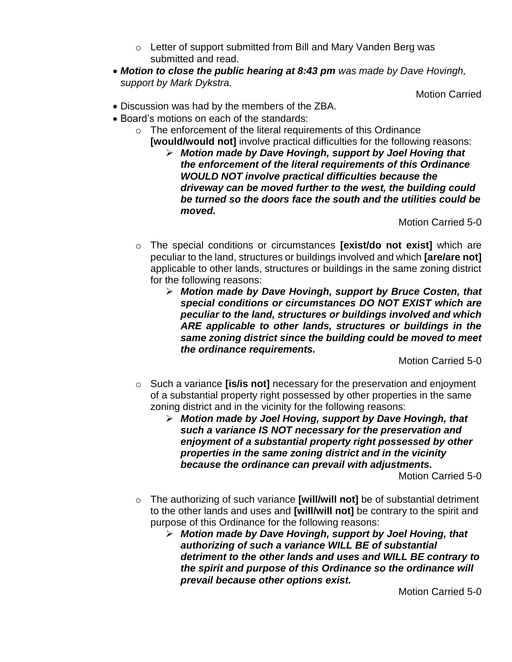- o Letter of support submitted from Bill and Mary Vanden Berg was submitted and read.
- *Motion to close the public hearing at 8:43 pm was made by Dave Hovingh, support by Mark Dykstra.*

Motion Carried

- Discussion was had by the members of the ZBA.
- Board's motions on each of the standards:
	- $\circ$  The enforcement of the literal requirements of this Ordinance **[would/would not]** involve practical difficulties for the following reasons:
		- ➢ *Motion made by Dave Hovingh, support by Joel Hoving that the enforcement of the literal requirements of this Ordinance WOULD NOT involve practical difficulties because the driveway can be moved further to the west, the building could be turned so the doors face the south and the utilities could be moved.*

Motion Carried 5-0

- o The special conditions or circumstances **[exist/do not exist]** which are peculiar to the land, structures or buildings involved and which **[are/are not]** applicable to other lands, structures or buildings in the same zoning district for the following reasons:
	- ➢ *Motion made by Dave Hovingh, support by Bruce Costen, that special conditions or circumstances DO NOT EXIST which are peculiar to the land, structures or buildings involved and which ARE applicable to other lands, structures or buildings in the same zoning district since the building could be moved to meet the ordinance requirements.*

Motion Carried 5-0

- o Such a variance **[is/is not]** necessary for the preservation and enjoyment of a substantial property right possessed by other properties in the same zoning district and in the vicinity for the following reasons:
	- ➢ *Motion made by Joel Hoving, support by Dave Hovingh, that such a variance IS NOT necessary for the preservation and enjoyment of a substantial property right possessed by other properties in the same zoning district and in the vicinity because the ordinance can prevail with adjustments.*

Motion Carried 5-0

- o The authorizing of such variance **[will/will not]** be of substantial detriment to the other lands and uses and **[will/will not]** be contrary to the spirit and purpose of this Ordinance for the following reasons:
	- ➢ *Motion made by Dave Hovingh, support by Joel Hoving, that authorizing of such a variance WILL BE of substantial detriment to the other lands and uses and WILL BE contrary to the spirit and purpose of this Ordinance so the ordinance will prevail because other options exist.*

Motion Carried 5-0